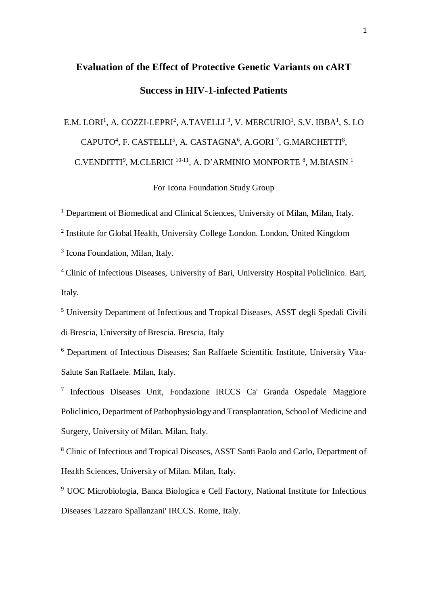# **Evaluation of the Effect of Protective Genetic Variants on cART Success in HIV-1-infected Patients**

# E.M. LORI<sup>1</sup>, A. COZZI-LEPRI<sup>2</sup>, A.TAVELLI<sup>3</sup>, V. MERCURIO<sup>1</sup>, S.V. IBBA<sup>1</sup>, S. LO  $CAPUTO<sup>4</sup>$ , F. CASTELLI<sup>5</sup>, A. CASTAGNA<sup>6</sup>, A.GORI<sup>7</sup>, G.MARCHETTI<sup>8</sup>, C.VENDITTI<sup>9</sup>, M.CLERICI <sup>10-11</sup>, A. D'ARMINIO MONFORTE <sup>8</sup>, M.BIASIN<sup>1</sup>

For Icona Foundation Study Group

<sup>1</sup> Department of Biomedical and Clinical Sciences, University of Milan, Milan, Italy.

<sup>2</sup> Institute for Global Health, University College London. London, United Kingdom

<sup>3</sup> Icona Foundation, Milan, Italy.

<sup>4</sup> Clinic of Infectious Diseases, University of Bari, University Hospital Policlinico. Bari, Italy.

<sup>5</sup> University Department of Infectious and Tropical Diseases, ASST degli Spedali Civili di Brescia, University of Brescia. Brescia, Italy

<sup>6</sup> Department of Infectious Diseases; San Raffaele Scientific Institute, University Vita-Salute San Raffaele. Milan, Italy.

7 Infectious Diseases Unit, Fondazione IRCCS Ca' Granda Ospedale Maggiore Policlinico, Department of Pathophysiology and Transplantation, School of Medicine and Surgery, University of Milan. Milan, Italy.

<sup>8</sup> Clinic of Infectious and Tropical Diseases, ASST Santi Paolo and Carlo, Department of Health Sciences, University of Milan. Milan, Italy.

<sup>9</sup> UOC Microbiologia, Banca Biologica e Cell Factory, National Institute for Infectious Diseases 'Lazzaro Spallanzani' IRCCS. Rome, Italy.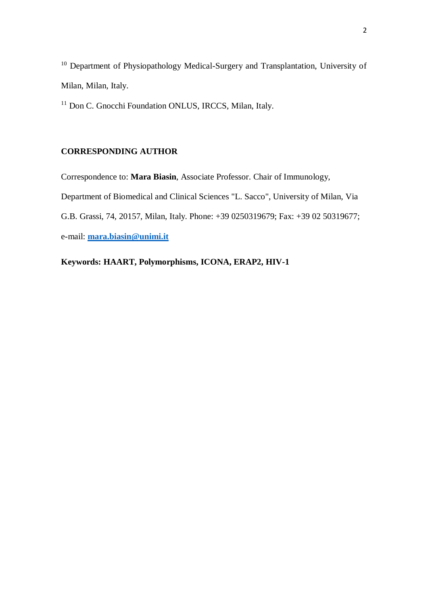<sup>10</sup> Department of Physiopathology Medical-Surgery and Transplantation, University of Milan, Milan, Italy.

<sup>11</sup> Don C. Gnocchi Foundation ONLUS, IRCCS, Milan, Italy.

# **CORRESPONDING AUTHOR**

Correspondence to: **Mara Biasin**, Associate Professor. Chair of Immunology,

Department of Biomedical and Clinical Sciences "L. Sacco", University of Milan, Via

G.B. Grassi, 74, 20157, Milan, Italy. Phone: +39 0250319679; Fax: +39 02 50319677;

e-mail: **[mara.biasin@unimi.it](mailto:mara.biasin@unimi.it)**

**Keywords: HAART, Polymorphisms, ICONA, ERAP2, HIV-1**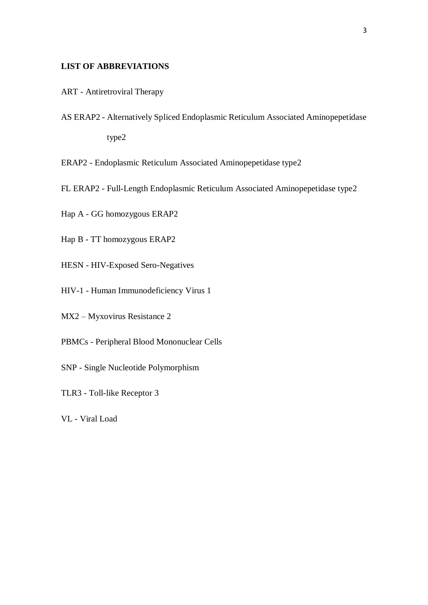# **LIST OF ABBREVIATIONS**

- ART Antiretroviral Therapy
- AS ERAP2 Alternatively Spliced Endoplasmic Reticulum Associated Aminopepetidase type2
- ERAP2 Endoplasmic Reticulum Associated Aminopepetidase type2
- FL ERAP2 Full-Length Endoplasmic Reticulum Associated Aminopepetidase type2
- Hap A GG homozygous ERAP2
- Hap B TT homozygous ERAP2
- HESN HIV-Exposed Sero-Negatives
- HIV-1 Human Immunodeficiency Virus 1
- MX2 Myxovirus Resistance 2
- PBMCs Peripheral Blood Mononuclear Cells
- SNP Single Nucleotide Polymorphism
- TLR3 Toll-like Receptor 3
- VL Viral Load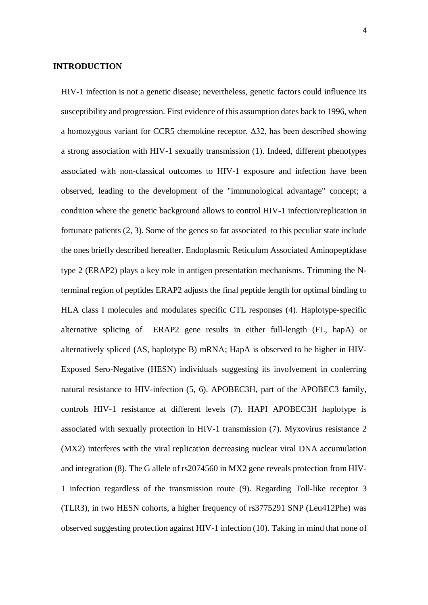#### **INTRODUCTION**

HIV-1 infection is not a genetic disease; nevertheless, genetic factors could influence its susceptibility and progression. First evidence of this assumption dates back to 1996, when a homozygous variant for CCR5 chemokine receptor, Δ32, has been described showing a strong association with HIV-1 sexually transmission (1). Indeed, different phenotypes associated with non-classical outcomes to HIV-1 exposure and infection have been observed, leading to the development of the "immunological advantage" concept; a condition where the genetic background allows to control HIV-1 infection/replication in fortunate patients (2, 3). Some of the genes so far associated to this peculiar state include the ones briefly described hereafter. Endoplasmic Reticulum Associated Aminopeptidase type 2 (ERAP2) plays a key role in antigen presentation mechanisms. Trimming the Nterminal region of peptides ERAP2 adjusts the final peptide length for optimal binding to HLA class I molecules and modulates specific CTL responses (4). Haplotype-specific alternative splicing of ERAP2 gene results in either full-length (FL, hapA) or alternatively spliced (AS, haplotype B) mRNA; HapA is observed to be higher in HIV-Exposed Sero-Negative (HESN) individuals suggesting its involvement in conferring natural resistance to HIV-infection (5, 6). APOBEC3H, part of the APOBEC3 family, controls HIV-1 resistance at different levels (7). HAPI APOBEC3H haplotype is associated with sexually protection in HIV-1 transmission (7). Myxovirus resistance 2 (MX2) interferes with the viral replication decreasing nuclear viral DNA accumulation and integration (8). The G allele of rs2074560 in MX2 gene reveals protection from HIV-1 infection regardless of the transmission route (9). Regarding Toll-like receptor 3 (TLR3), in two HESN cohorts, a higher frequency of rs3775291 SNP (Leu412Phe) was observed suggesting protection against HIV-1 infection (10). Taking in mind that none of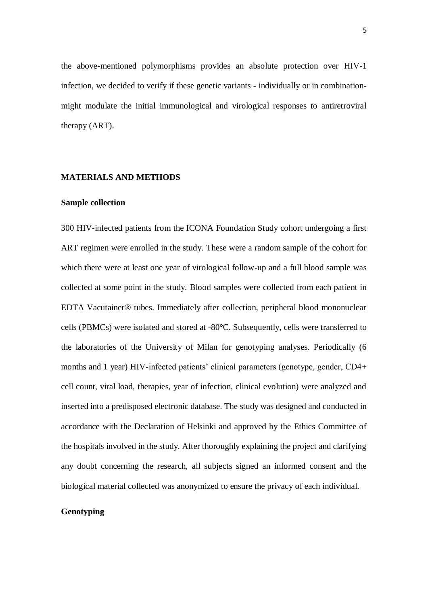the above-mentioned polymorphisms provides an absolute protection over HIV-1 infection, we decided to verify if these genetic variants - individually or in combinationmight modulate the initial immunological and virological responses to antiretroviral therapy (ART).

#### **MATERIALS AND METHODS**

# **Sample collection**

300 HIV-infected patients from the ICONA Foundation Study cohort undergoing a first ART regimen were enrolled in the study. These were a random sample of the cohort for which there were at least one year of virological follow-up and a full blood sample was collected at some point in the study. Blood samples were collected from each patient in EDTA Vacutainer® tubes. Immediately after collection, peripheral blood mononuclear cells (PBMCs) were isolated and stored at -80°C. Subsequently, cells were transferred to the laboratories of the University of Milan for genotyping analyses. Periodically (6 months and 1 year) HIV-infected patients' clinical parameters (genotype, gender, CD4+ cell count, viral load, therapies, year of infection, clinical evolution) were analyzed and inserted into a predisposed electronic database. The study was designed and conducted in accordance with the Declaration of Helsinki and approved by the Ethics Committee of the hospitals involved in the study. After thoroughly explaining the project and clarifying any doubt concerning the research, all subjects signed an informed consent and the biological material collected was anonymized to ensure the privacy of each individual.

### **Genotyping**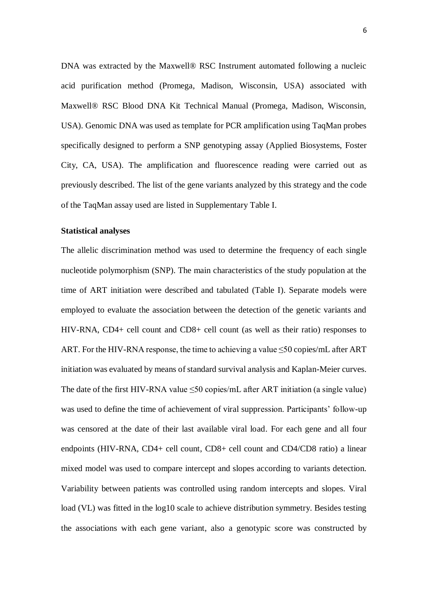DNA was extracted by the Maxwell® RSC Instrument automated following a nucleic acid purification method (Promega, Madison, Wisconsin, USA) associated with Maxwell® RSC Blood DNA Kit Technical Manual (Promega, Madison, Wisconsin, USA). Genomic DNA was used as template for PCR amplification using TaqMan probes specifically designed to perform a SNP genotyping assay (Applied Biosystems, Foster City, CA, USA). The amplification and fluorescence reading were carried out as previously described. The list of the gene variants analyzed by this strategy and the code of the TaqMan assay used are listed in Supplementary Table I.

#### **Statistical analyses**

The allelic discrimination method was used to determine the frequency of each single nucleotide polymorphism (SNP). The main characteristics of the study population at the time of ART initiation were described and tabulated (Table I). Separate models were employed to evaluate the association between the detection of the genetic variants and HIV-RNA, CD4+ cell count and CD8+ cell count (as well as their ratio) responses to ART. For the HIV-RNA response, the time to achieving a value  $\leq 50$  copies/mL after ART initiation was evaluated by means of standard survival analysis and Kaplan-Meier curves. The date of the first HIV-RNA value <50 copies/mL after ART initiation (a single value) was used to define the time of achievement of viral suppression. Participants' follow-up was censored at the date of their last available viral load. For each gene and all four endpoints (HIV-RNA, CD4+ cell count, CD8+ cell count and CD4/CD8 ratio) a linear mixed model was used to compare intercept and slopes according to variants detection. Variability between patients was controlled using random intercepts and slopes. Viral load (VL) was fitted in the log10 scale to achieve distribution symmetry. Besides testing the associations with each gene variant, also a genotypic score was constructed by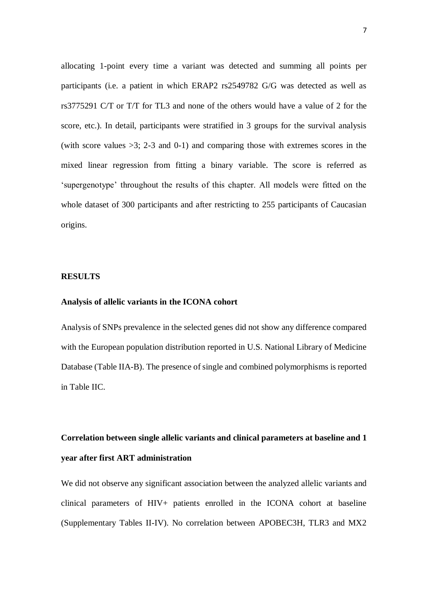allocating 1-point every time a variant was detected and summing all points per participants (i.e. a patient in which ERAP2 rs2549782 G/G was detected as well as rs3775291 C/T or T/T for TL3 and none of the others would have a value of 2 for the score, etc.). In detail, participants were stratified in 3 groups for the survival analysis (with score values  $>3$ ; 2-3 and 0-1) and comparing those with extremes scores in the mixed linear regression from fitting a binary variable. The score is referred as 'supergenotype' throughout the results of this chapter. All models were fitted on the whole dataset of 300 participants and after restricting to 255 participants of Caucasian origins.

#### **RESULTS**

#### **Analysis of allelic variants in the ICONA cohort**

Analysis of SNPs prevalence in the selected genes did not show any difference compared with the European population distribution reported in U.S. National Library of Medicine Database (Table IIA-B). The presence of single and combined polymorphisms is reported in Table IIC.

# **Correlation between single allelic variants and clinical parameters at baseline and 1 year after first ART administration**

We did not observe any significant association between the analyzed allelic variants and clinical parameters of HIV+ patients enrolled in the ICONA cohort at baseline (Supplementary Tables II-IV). No correlation between APOBEC3H, TLR3 and MX2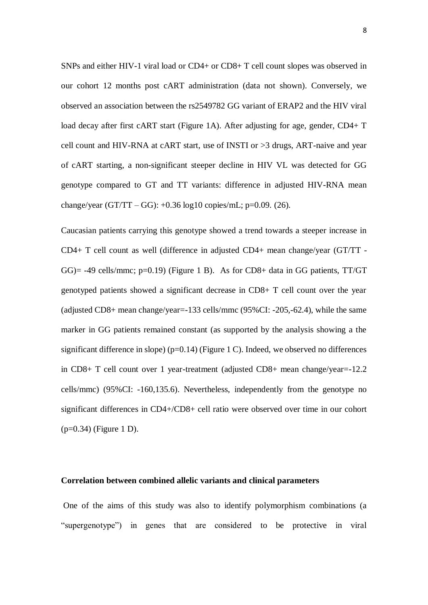SNPs and either HIV-1 viral load or CD4+ or CD8+ T cell count slopes was observed in our cohort 12 months post cART administration (data not shown). Conversely, we observed an association between the rs2549782 GG variant of ERAP2 and the HIV viral load decay after first cART start (Figure 1A). After adjusting for age, gender, CD4+ T cell count and HIV-RNA at cART start, use of INSTI or >3 drugs, ART-naive and year of cART starting, a non-significant steeper decline in HIV VL was detected for GG genotype compared to GT and TT variants: difference in adjusted HIV-RNA mean change/year  $(GT/TT - GG)$ : +0.36 log10 copies/mL; p=0.09. (26).

Caucasian patients carrying this genotype showed a trend towards a steeper increase in CD4+ T cell count as well (difference in adjusted CD4+ mean change/year (GT/TT -  $GG$ )= -49 cells/mmc; p=0.19) (Figure 1 B). As for CD8+ data in GG patients, TT/GT genotyped patients showed a significant decrease in CD8+ T cell count over the year (adjusted CD8+ mean change/year=-133 cells/mmc (95%CI: -205,-62.4), while the same marker in GG patients remained constant (as supported by the analysis showing a the significant difference in slope) ( $p=0.14$ ) (Figure 1 C). Indeed, we observed no differences in CD8+ T cell count over 1 year-treatment (adjusted CD8+ mean change/year=-12.2 cells/mmc) (95%CI: -160,135.6). Nevertheless, independently from the genotype no significant differences in CD4+/CD8+ cell ratio were observed over time in our cohort  $(p=0.34)$  (Figure 1 D).

#### **Correlation between combined allelic variants and clinical parameters**

One of the aims of this study was also to identify polymorphism combinations (a "supergenotype") in genes that are considered to be protective in viral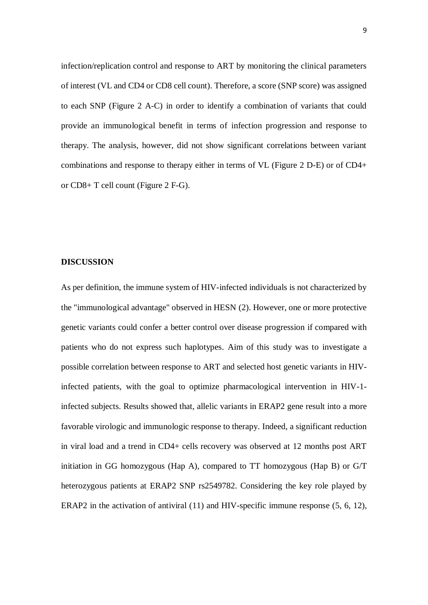infection/replication control and response to ART by monitoring the clinical parameters of interest (VL and CD4 or CD8 cell count). Therefore, a score (SNP score) was assigned to each SNP (Figure 2 A-C) in order to identify a combination of variants that could provide an immunological benefit in terms of infection progression and response to therapy. The analysis, however, did not show significant correlations between variant combinations and response to therapy either in terms of VL (Figure 2 D-E) or of CD4+ or CD8+ T cell count (Figure 2 F-G).

#### **DISCUSSION**

As per definition, the immune system of HIV-infected individuals is not characterized by the "immunological advantage" observed in HESN (2). However, one or more protective genetic variants could confer a better control over disease progression if compared with patients who do not express such haplotypes. Aim of this study was to investigate a possible correlation between response to ART and selected host genetic variants in HIVinfected patients, with the goal to optimize pharmacological intervention in HIV-1 infected subjects. Results showed that, allelic variants in ERAP2 gene result into a more favorable virologic and immunologic response to therapy. Indeed, a significant reduction in viral load and a trend in CD4+ cells recovery was observed at 12 months post ART initiation in GG homozygous (Hap A), compared to TT homozygous (Hap B) or G/T heterozygous patients at ERAP2 SNP rs2549782. Considering the key role played by ERAP2 in the activation of antiviral (11) and HIV-specific immune response (5, 6, 12),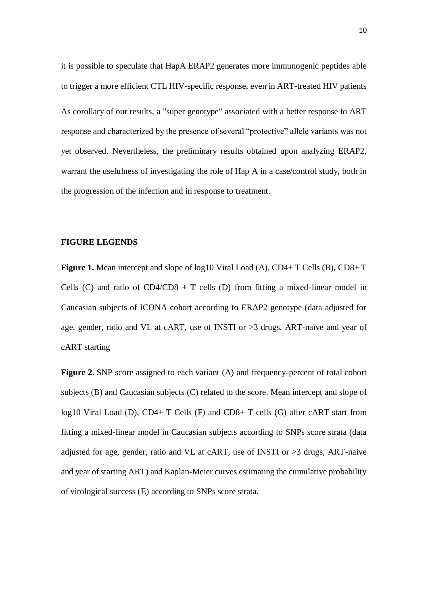it is possible to speculate that HapA ERAP2 generates more immunogenic peptides able to trigger a more efficient CTL HIV-specific response, even in ART-treated HIV patients As corollary of our results, a "super genotype" associated with a better response to ART response and characterized by the presence of several "protective" allele variants was not yet observed. Nevertheless, the preliminary results obtained upon analyzing ERAP2, warrant the usefulness of investigating the role of Hap A in a case/control study, both in the progression of the infection and in response to treatment.

#### **FIGURE LEGENDS**

**Figure 1.** Mean intercept and slope of log10 Viral Load (A), CD4+ T Cells (B), CD8+ T Cells (C) and ratio of  $CD4/CD8 + T$  cells (D) from fitting a mixed-linear model in Caucasian subjects of ICONA cohort according to ERAP2 genotype (data adjusted for age, gender, ratio and VL at cART, use of INSTI or >3 drugs, ART-naïve and year of cART starting

**Figure 2.** SNP score assigned to each variant (A) and frequency-percent of total cohort subjects (B) and Caucasian subjects (C) related to the score. Mean intercept and slope of log10 Viral Load (D), CD4+ T Cells (F) and CD8+ T cells (G) after cART start from fitting a mixed-linear model in Caucasian subjects according to SNPs score strata (data adjusted for age, gender, ratio and VL at cART, use of INSTI or >3 drugs, ART-naive and year of starting ART) and Kaplan-Meier curves estimating the cumulative probability of virological success (E) according to SNPs score strata.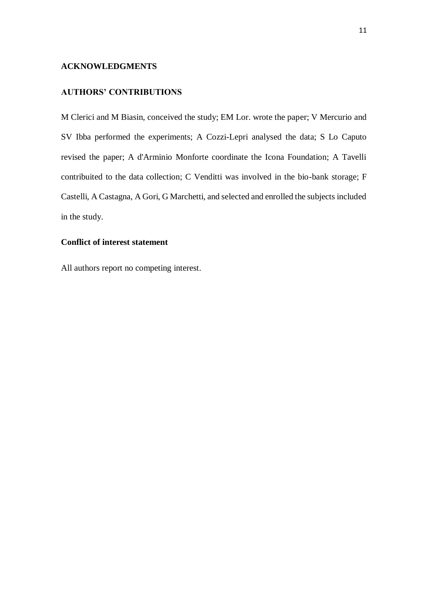# **ACKNOWLEDGMENTS**

# **AUTHORS' CONTRIBUTIONS**

M Clerici and M Biasin, conceived the study; EM Lor. wrote the paper; V Mercurio and SV Ibba performed the experiments; A Cozzi-Lepri analysed the data; S Lo Caputo revised the paper; A d'Arminio Monforte coordinate the Icona Foundation; A Tavelli contribuited to the data collection; C Venditti was involved in the bio-bank storage; F Castelli, A Castagna, A Gori, G Marchetti, and selected and enrolled the subjects included in the study.

### **Conflict of interest statement**

All authors report no competing interest.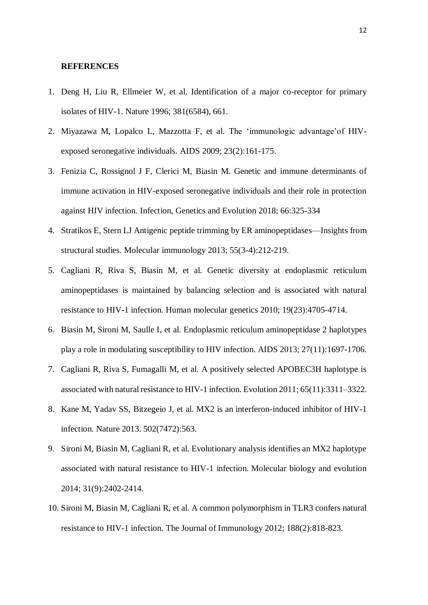#### **REFERENCES**

- 1. Deng H, Liu R, Ellmeier W, et al. Identification of a major co-receptor for primary isolates of HIV-1. Nature 1996; 381(6584), 661.
- 2. Miyazawa M, Lopalco L, Mazzotta F, et al. The 'immunologic advantage'of HIVexposed seronegative individuals. AIDS 2009; 23(2):161-175.
- 3. Fenizia C, Rossignol J F, Clerici M, Biasin M. Genetic and immune determinants of immune activation in HIV-exposed seronegative individuals and their role in protection against HIV infection. Infection, Genetics and Evolution 2018; 66:325-334
- 4. Stratikos E, Stern LJ Antigenic peptide trimming by ER aminopeptidases—Insights from structural studies. Molecular immunology 2013; 55(3-4):212-219.
- 5. Cagliani R, Riva S, Biasin M, et al. Genetic diversity at endoplasmic reticulum aminopeptidases is maintained by balancing selection and is associated with natural resistance to HIV-1 infection. Human molecular genetics 2010; 19(23):4705-4714.
- 6. Biasin M, Sironi M, Saulle I, et al. Endoplasmic reticulum aminopeptidase 2 haplotypes play a role in modulating susceptibility to HIV infection. AIDS 2013; 27(11):1697-1706.
- 7. Cagliani R, Riva S, Fumagalli M, et al. A positively selected APOBEC3H haplotype is associated with natural resistance to HIV-1 infection. Evolution 2011; 65(11):3311–3322.
- 8. Kane M, Yadav SS, Bitzegeio J, et al. MX2 is an interferon-induced inhibitor of HIV-1 infection. Nature 2013. 502(7472):563.
- 9. Sironi M, Biasin M, Cagliani R, et al. Evolutionary analysis identifies an MX2 haplotype associated with natural resistance to HIV-1 infection. Molecular biology and evolution 2014; 31(9):2402-2414.
- 10. Sironi M, Biasin M, Cagliani R, et al. A common polymorphism in TLR3 confers natural resistance to HIV-1 infection. The Journal of Immunology 2012; 188(2):818-823.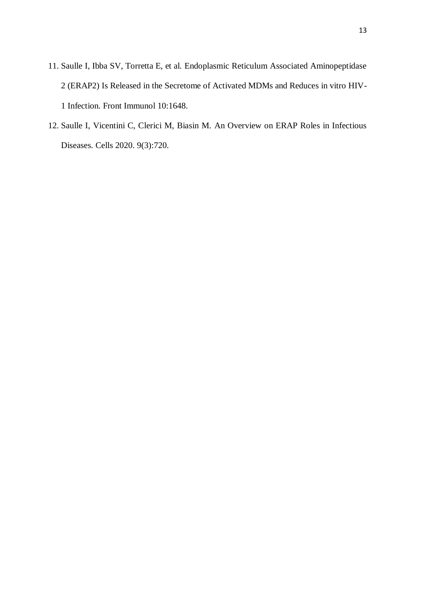- 11. Saulle I, Ibba SV, Torretta E, et al. Endoplasmic Reticulum Associated Aminopeptidase 2 (ERAP2) Is Released in the Secretome of Activated MDMs and Reduces in vitro HIV-1 Infection. Front Immunol 10:1648.
- 12. Saulle I, Vicentini C, Clerici M, Biasin M. An Overview on ERAP Roles in Infectious Diseases. Cells 2020. 9(3):720.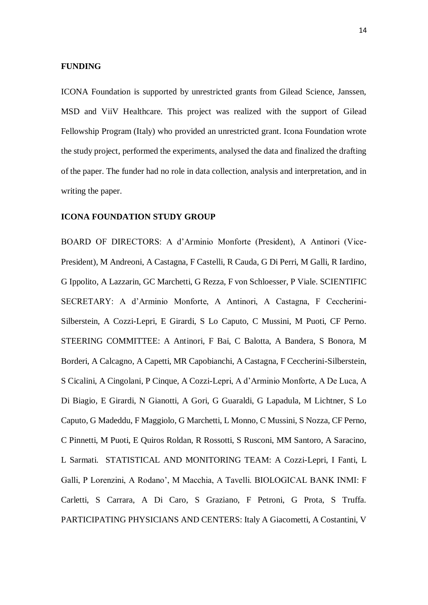#### **FUNDING**

ICONA Foundation is supported by unrestricted grants from Gilead Science, Janssen, MSD and ViiV Healthcare. This project was realized with the support of Gilead Fellowship Program (Italy) who provided an unrestricted grant. Icona Foundation wrote the study project, performed the experiments, analysed the data and finalized the drafting of the paper. The funder had no role in data collection, analysis and interpretation, and in writing the paper.

#### **ICONA FOUNDATION STUDY GROUP**

BOARD OF DIRECTORS: A d'Arminio Monforte (President), A Antinori (Vice-President), M Andreoni, A Castagna, F Castelli, R Cauda, G Di Perri, M Galli, R Iardino, G Ippolito, A Lazzarin, GC Marchetti, G Rezza, F von Schloesser, P Viale. SCIENTIFIC SECRETARY: A d'Arminio Monforte, A Antinori, A Castagna, F Ceccherini-Silberstein, A Cozzi-Lepri, E Girardi, S Lo Caputo, C Mussini, M Puoti, CF Perno. STEERING COMMITTEE: A Antinori, F Bai, C Balotta, A Bandera, S Bonora, M Borderi, A Calcagno, A Capetti, MR Capobianchi, A Castagna, F Ceccherini-Silberstein, S Cicalini, A Cingolani, P Cinque, A Cozzi-Lepri, A d'Arminio Monforte, A De Luca, A Di Biagio, E Girardi, N Gianotti, A Gori, G Guaraldi, G Lapadula, M Lichtner, S Lo Caputo, G Madeddu, F Maggiolo, G Marchetti, L Monno, C Mussini, S Nozza, CF Perno, C Pinnetti, M Puoti, E Quiros Roldan, R Rossotti, S Rusconi, MM Santoro, A Saracino, L Sarmati. STATISTICAL AND MONITORING TEAM: A Cozzi-Lepri, I Fanti, L Galli, P Lorenzini, A Rodano', M Macchia, A Tavelli. BIOLOGICAL BANK INMI: F Carletti, S Carrara, A Di Caro, S Graziano, F Petroni, G Prota, S Truffa. PARTICIPATING PHYSICIANS AND CENTERS: Italy A Giacometti, A Costantini, V